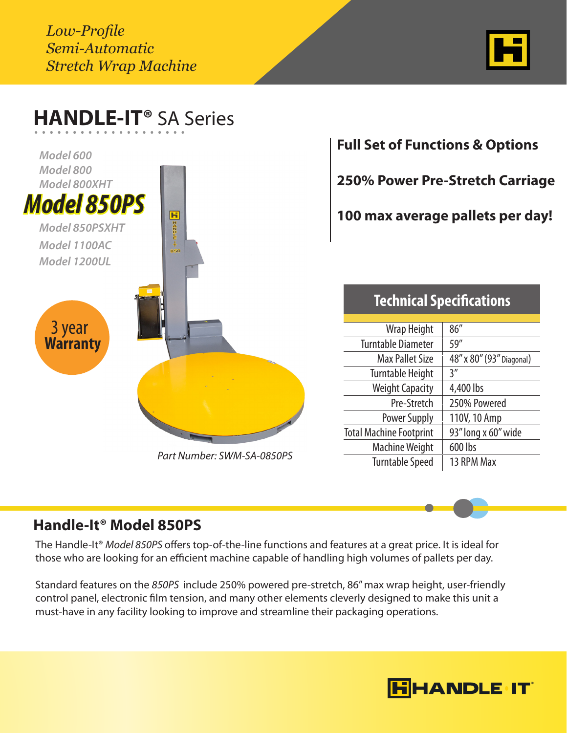*Low-Profile Semi-Automatic Stretch Wrap Machine*



| Model 600                            |                            | <b>Full Set of Functions &amp; Options</b> |                                        |
|--------------------------------------|----------------------------|--------------------------------------------|----------------------------------------|
| Model 800<br>Model 800XHT            |                            |                                            | <b>250% Power Pre-Stretch Carriage</b> |
| <b>Model 850PS</b><br>Model 850PSXHT | T                          |                                            | 100 max average pallets per day!       |
| Model 1100AC<br>Model 1200UL         | 850                        |                                            |                                        |
|                                      |                            | <b>Technical Specifications</b>            |                                        |
|                                      |                            |                                            |                                        |
|                                      |                            | Wrap Height                                | 86"                                    |
| 3 year<br><b>Warranty</b>            |                            | <b>Turntable Diameter</b>                  | 59"                                    |
|                                      |                            | <b>Max Pallet Size</b>                     | 48" x 80" (93" Diagonal)               |
|                                      |                            | <b>Turntable Height</b>                    | 3''                                    |
|                                      |                            | <b>Weight Capacity</b>                     | 4,400 lbs                              |
|                                      |                            | Pre-Stretch                                | 250% Powered                           |
|                                      |                            | Power Supply                               | 110V, 10 Amp                           |
|                                      |                            | <b>Total Machine Footprint</b>             | 93" long x 60" wide                    |
|                                      | Part Number: SWM-SA-0850PS | <b>Machine Weight</b>                      | 600 lbs                                |

## **Handle-It® Model 850PS**

The Handle-It® *Model 850PS* offers top-of-the-line functions and features at a great price. It is ideal for those who are looking for an efficient machine capable of handling high volumes of pallets per day.

Standard features on the *850PS* include 250% powered pre-stretch, 86" max wrap height, user-friendly control panel, electronic film tension, and many other elements cleverly designed to make this unit a must-have in any facility looking to improve and streamline their packaging operations.